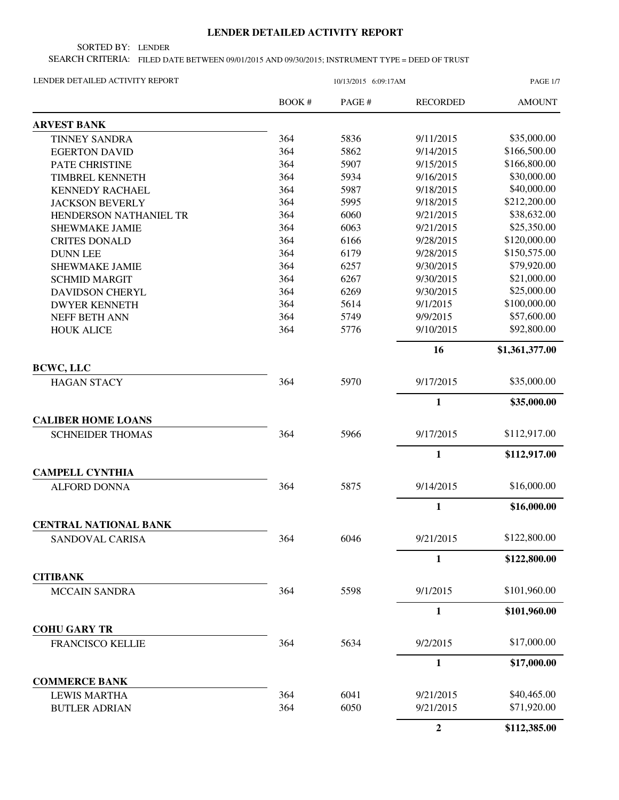## **LENDER DETAILED ACTIVITY REPORT**

SORTED BY: LENDER

SEARCH CRITERIA: FILED DATE BETWEEN 09/01/2015 AND 09/30/2015; INSTRUMENT TYPE = DEED OF TRUST

| LENDER DETAILED ACTIVITY REPORT                 |        | <b>PAGE 1/7</b> |                  |                |
|-------------------------------------------------|--------|-----------------|------------------|----------------|
|                                                 | BOOK # | PAGE #          | <b>RECORDED</b>  | <b>AMOUNT</b>  |
| <b>ARVEST BANK</b>                              |        |                 |                  |                |
| <b>TINNEY SANDRA</b>                            | 364    | 5836            | 9/11/2015        | \$35,000.00    |
| <b>EGERTON DAVID</b>                            | 364    | 5862            | 9/14/2015        | \$166,500.00   |
| PATE CHRISTINE                                  | 364    | 5907            | 9/15/2015        | \$166,800.00   |
| TIMBREL KENNETH                                 | 364    | 5934            | 9/16/2015        | \$30,000.00    |
| <b>KENNEDY RACHAEL</b>                          | 364    | 5987            | 9/18/2015        | \$40,000.00    |
| <b>JACKSON BEVERLY</b>                          | 364    | 5995            | 9/18/2015        | \$212,200.00   |
| HENDERSON NATHANIEL TR                          | 364    | 6060            | 9/21/2015        | \$38,632.00    |
| <b>SHEWMAKE JAMIE</b>                           | 364    | 6063            | 9/21/2015        | \$25,350.00    |
| <b>CRITES DONALD</b>                            | 364    | 6166            | 9/28/2015        | \$120,000.00   |
| <b>DUNN LEE</b>                                 | 364    | 6179            | 9/28/2015        | \$150,575.00   |
| SHEWMAKE JAMIE                                  | 364    | 6257            | 9/30/2015        | \$79,920.00    |
| <b>SCHMID MARGIT</b>                            | 364    | 6267            | 9/30/2015        | \$21,000.00    |
| <b>DAVIDSON CHERYL</b>                          | 364    | 6269            | 9/30/2015        | \$25,000.00    |
| <b>DWYER KENNETH</b>                            | 364    | 5614            | 9/1/2015         | \$100,000.00   |
| NEFF BETH ANN                                   | 364    | 5749            | 9/9/2015         | \$57,600.00    |
| <b>HOUK ALICE</b>                               | 364    | 5776            | 9/10/2015        | \$92,800.00    |
|                                                 |        |                 | 16               | \$1,361,377.00 |
| <b>BCWC, LLC</b><br><b>HAGAN STACY</b>          | 364    | 5970            | 9/17/2015        | \$35,000.00    |
|                                                 |        |                 | 1                | \$35,000.00    |
| <b>CALIBER HOME LOANS</b>                       |        |                 |                  |                |
| <b>SCHNEIDER THOMAS</b>                         | 364    | 5966            | 9/17/2015        | \$112,917.00   |
|                                                 |        |                 | $\mathbf{1}$     | \$112,917.00   |
| <b>CAMPELL CYNTHIA</b>                          |        |                 |                  |                |
| <b>ALFORD DONNA</b>                             | 364    | 5875            | 9/14/2015        | \$16,000.00    |
|                                                 |        |                 | 1                | \$16,000.00    |
| <b>CENTRAL NATIONAL BANK</b><br>SANDOVAL CARISA | 364    | 6046            | 9/21/2015        | \$122,800.00   |
|                                                 |        |                 |                  |                |
| <b>CITIBANK</b>                                 |        |                 | 1                | \$122,800.00   |
|                                                 |        |                 |                  |                |
| <b>MCCAIN SANDRA</b>                            | 364    | 5598            | 9/1/2015         | \$101,960.00   |
|                                                 |        |                 | $\mathbf{1}$     | \$101,960.00   |
| <b>COHU GARY TR</b><br><b>FRANCISCO KELLIE</b>  | 364    | 5634            | 9/2/2015         | \$17,000.00    |
|                                                 |        |                 | $\mathbf{1}$     | \$17,000.00    |
| <b>COMMERCE BANK</b>                            |        |                 |                  |                |
| <b>LEWIS MARTHA</b>                             | 364    | 6041            | 9/21/2015        | \$40,465.00    |
| <b>BUTLER ADRIAN</b>                            | 364    | 6050            | 9/21/2015        | \$71,920.00    |
|                                                 |        |                 | $\boldsymbol{2}$ | \$112,385.00   |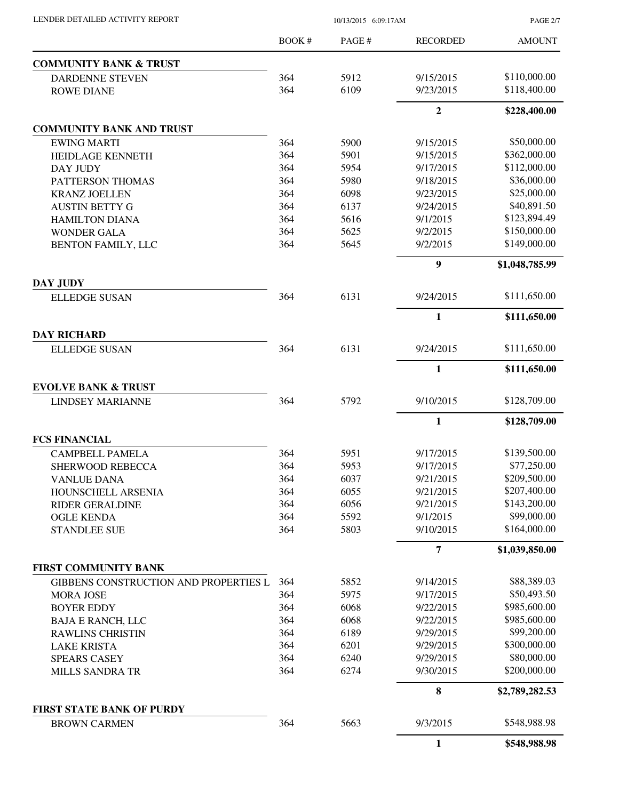| LENDER DETAILED ACTIVITY REPORT                         | 10/13/2015 6:09:17AM |              |                       | <b>PAGE 2/7</b>             |
|---------------------------------------------------------|----------------------|--------------|-----------------------|-----------------------------|
|                                                         | <b>BOOK#</b>         | PAGE#        | <b>RECORDED</b>       | <b>AMOUNT</b>               |
| <b>COMMUNITY BANK &amp; TRUST</b>                       |                      |              |                       |                             |
| <b>DARDENNE STEVEN</b>                                  | 364                  | 5912         | 9/15/2015             | \$110,000.00                |
| <b>ROWE DIANE</b>                                       | 364                  | 6109         | 9/23/2015             | \$118,400.00                |
|                                                         |                      |              | $\overline{2}$        | \$228,400.00                |
| <b>COMMUNITY BANK AND TRUST</b>                         |                      |              |                       |                             |
| <b>EWING MARTI</b>                                      | 364                  | 5900         | 9/15/2015             | \$50,000.00                 |
| <b>HEIDLAGE KENNETH</b>                                 | 364                  | 5901         | 9/15/2015             | \$362,000.00                |
| DAY JUDY                                                | 364                  | 5954         | 9/17/2015             | \$112,000.00                |
| PATTERSON THOMAS                                        | 364                  | 5980         | 9/18/2015             | \$36,000.00                 |
| <b>KRANZ JOELLEN</b>                                    | 364                  | 6098         | 9/23/2015             | \$25,000.00                 |
| <b>AUSTIN BETTY G</b>                                   | 364                  | 6137         | 9/24/2015             | \$40,891.50                 |
| <b>HAMILTON DIANA</b>                                   | 364                  | 5616         | 9/1/2015              | \$123,894.49                |
| <b>WONDER GALA</b>                                      | 364                  | 5625         | 9/2/2015              | \$150,000.00                |
| <b>BENTON FAMILY, LLC</b>                               | 364                  | 5645         | 9/2/2015              | \$149,000.00                |
|                                                         |                      |              | 9                     | \$1,048,785.99              |
| DAY JUDY<br><b>ELLEDGE SUSAN</b>                        | 364                  | 6131         | 9/24/2015             | \$111,650.00                |
|                                                         |                      |              | $\mathbf{1}$          | \$111,650.00                |
| <b>DAY RICHARD</b>                                      |                      |              |                       |                             |
| <b>ELLEDGE SUSAN</b>                                    | 364                  | 6131         | 9/24/2015             | \$111,650.00                |
|                                                         |                      |              | $\mathbf{1}$          | \$111,650.00                |
| <b>EVOLVE BANK &amp; TRUST</b>                          |                      |              |                       |                             |
| <b>LINDSEY MARIANNE</b>                                 | 364                  | 5792         | 9/10/2015             | \$128,709.00                |
|                                                         |                      |              | 1                     | \$128,709.00                |
| <b>FCS FINANCIAL</b>                                    |                      |              |                       |                             |
| <b>CAMPBELL PAMELA</b>                                  | 364                  | 5951         | 9/17/2015             | \$139,500.00                |
| SHERWOOD REBECCA                                        | 364                  | 5953         | 9/17/2015             | \$77,250.00                 |
| <b>VANLUE DANA</b>                                      | 364                  | 6037         | 9/21/2015             | \$209,500.00                |
| HOUNSCHELL ARSENIA                                      | 364                  | 6055         | 9/21/2015             | \$207,400.00                |
| <b>RIDER GERALDINE</b>                                  | 364                  | 6056         | 9/21/2015             | \$143,200.00<br>\$99,000.00 |
| <b>OGLE KENDA</b><br><b>STANDLEE SUE</b>                | 364<br>364           | 5592<br>5803 | 9/1/2015<br>9/10/2015 | \$164,000.00                |
|                                                         |                      |              | 7                     | \$1,039,850.00              |
| <b>FIRST COMMUNITY BANK</b>                             |                      |              |                       |                             |
| GIBBENS CONSTRUCTION AND PROPERTIES L                   | 364                  | 5852         | 9/14/2015             | \$88,389.03                 |
| <b>MORA JOSE</b>                                        | 364                  | 5975         | 9/17/2015             | \$50,493.50                 |
| <b>BOYER EDDY</b>                                       | 364                  | 6068         | 9/22/2015             | \$985,600.00                |
| <b>BAJA E RANCH, LLC</b>                                | 364                  | 6068         | 9/22/2015             | \$985,600.00                |
| <b>RAWLINS CHRISTIN</b>                                 | 364                  | 6189         | 9/29/2015             | \$99,200.00                 |
| <b>LAKE KRISTA</b>                                      | 364                  | 6201         | 9/29/2015             | \$300,000.00                |
| <b>SPEARS CASEY</b>                                     | 364<br>364           | 6240         | 9/29/2015             | \$80,000.00                 |
| <b>MILLS SANDRA TR</b>                                  |                      | 6274         | 9/30/2015             | \$200,000.00                |
|                                                         |                      |              | 8                     | \$2,789,282.53              |
| <b>FIRST STATE BANK OF PURDY</b><br><b>BROWN CARMEN</b> | 364                  | 5663         | 9/3/2015              | \$548,988.98                |
|                                                         |                      |              | $\mathbf{1}$          | \$548,988.98                |
|                                                         |                      |              |                       |                             |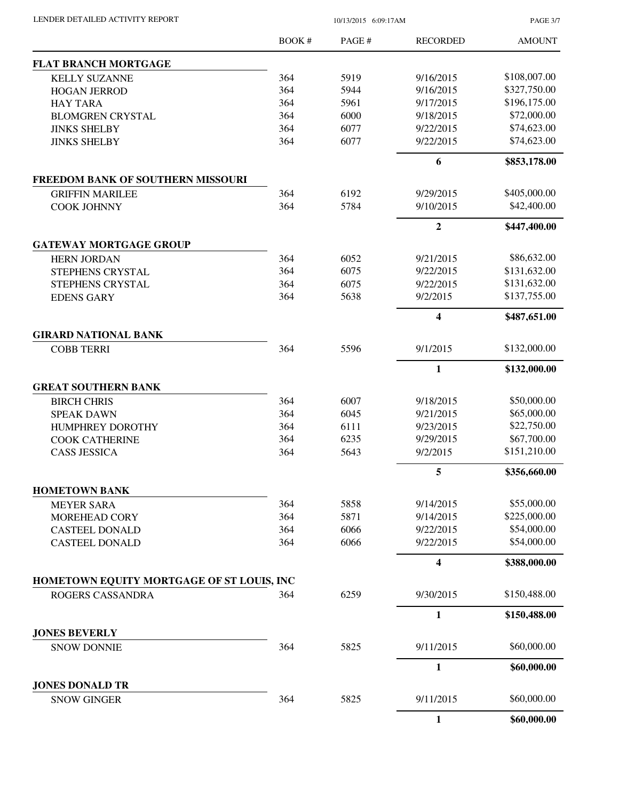LENDER DETAILED ACTIVITY REPORT 10/13/2015 6:09:17AM

PAGE 3/7

|                                           | BOOK# | PAGE# | <b>RECORDED</b>         | <b>AMOUNT</b> |
|-------------------------------------------|-------|-------|-------------------------|---------------|
| <b>FLAT BRANCH MORTGAGE</b>               |       |       |                         |               |
| <b>KELLY SUZANNE</b>                      | 364   | 5919  | 9/16/2015               | \$108,007.00  |
| <b>HOGAN JERROD</b>                       | 364   | 5944  | 9/16/2015               | \$327,750.00  |
| <b>HAY TARA</b>                           | 364   | 5961  | 9/17/2015               | \$196,175.00  |
| <b>BLOMGREN CRYSTAL</b>                   | 364   | 6000  | 9/18/2015               | \$72,000.00   |
| <b>JINKS SHELBY</b>                       | 364   | 6077  | 9/22/2015               | \$74,623.00   |
| <b>JINKS SHELBY</b>                       | 364   | 6077  | 9/22/2015               | \$74,623.00   |
|                                           |       |       | 6                       | \$853,178.00  |
| FREEDOM BANK OF SOUTHERN MISSOURI         |       |       |                         |               |
| <b>GRIFFIN MARILEE</b>                    | 364   | 6192  | 9/29/2015               | \$405,000.00  |
| <b>COOK JOHNNY</b>                        | 364   | 5784  | 9/10/2015               | \$42,400.00   |
|                                           |       |       | $\overline{2}$          | \$447,400.00  |
| <b>GATEWAY MORTGAGE GROUP</b>             |       |       |                         |               |
| <b>HERN JORDAN</b>                        | 364   | 6052  | 9/21/2015               | \$86,632.00   |
| STEPHENS CRYSTAL                          | 364   | 6075  | 9/22/2015               | \$131,632.00  |
| STEPHENS CRYSTAL                          | 364   | 6075  | 9/22/2015               | \$131,632.00  |
| <b>EDENS GARY</b>                         | 364   | 5638  | 9/2/2015                | \$137,755.00  |
|                                           |       |       | $\overline{\mathbf{4}}$ | \$487,651.00  |
| <b>GIRARD NATIONAL BANK</b>               |       |       |                         |               |
| <b>COBB TERRI</b>                         | 364   | 5596  | 9/1/2015                | \$132,000.00  |
|                                           |       |       | $\mathbf{1}$            | \$132,000.00  |
| <b>GREAT SOUTHERN BANK</b>                |       |       |                         |               |
| <b>BIRCH CHRIS</b>                        | 364   | 6007  | 9/18/2015               | \$50,000.00   |
| <b>SPEAK DAWN</b>                         | 364   | 6045  | 9/21/2015               | \$65,000.00   |
| HUMPHREY DOROTHY                          | 364   | 6111  | 9/23/2015               | \$22,750.00   |
| <b>COOK CATHERINE</b>                     | 364   | 6235  | 9/29/2015               | \$67,700.00   |
| <b>CASS JESSICA</b>                       | 364   | 5643  | 9/2/2015                | \$151,210.00  |
|                                           |       |       | 5                       | \$356,660.00  |
| <b>HOMETOWN BANK</b>                      |       |       |                         |               |
| <b>MEYER SARA</b>                         | 364   | 5858  | 9/14/2015               | \$55,000.00   |
| MOREHEAD CORY                             | 364   | 5871  | 9/14/2015               | \$225,000.00  |
| <b>CASTEEL DONALD</b>                     | 364   | 6066  | 9/22/2015               | \$54,000.00   |
| <b>CASTEEL DONALD</b>                     | 364   | 6066  | 9/22/2015               | \$54,000.00   |
|                                           |       |       | $\overline{\mathbf{4}}$ | \$388,000.00  |
| HOMETOWN EQUITY MORTGAGE OF ST LOUIS, INC |       |       |                         |               |
| ROGERS CASSANDRA                          | 364   | 6259  | 9/30/2015               | \$150,488.00  |
|                                           |       |       | $\mathbf{1}$            | \$150,488.00  |
| <b>JONES BEVERLY</b>                      |       |       |                         |               |
| <b>SNOW DONNIE</b>                        | 364   | 5825  | 9/11/2015               | \$60,000.00   |
|                                           |       |       | $\mathbf{1}$            | \$60,000.00   |
| <b>JONES DONALD TR</b>                    |       |       |                         |               |
| <b>SNOW GINGER</b>                        | 364   | 5825  | 9/11/2015               | \$60,000.00   |
|                                           |       |       | $\mathbf{1}$            | \$60,000.00   |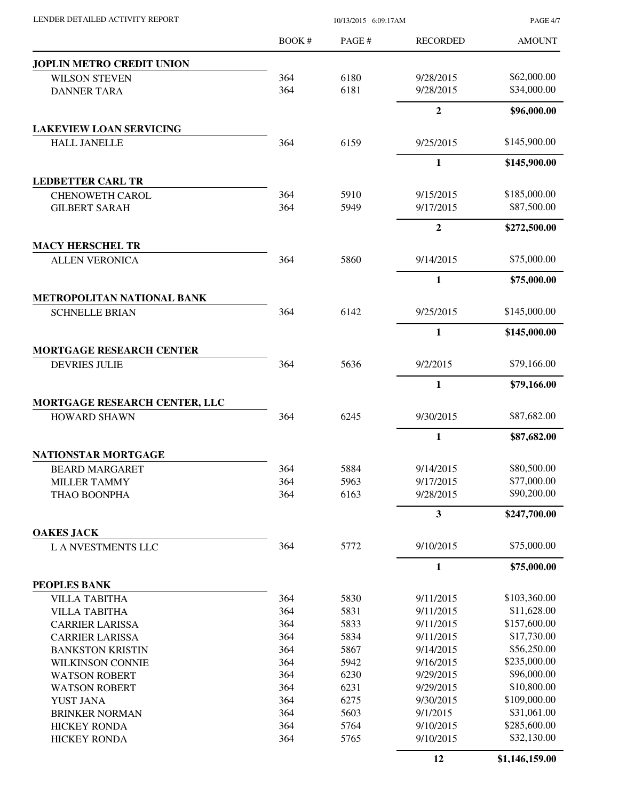|                                         | <b>BOOK#</b> | PAGE # | <b>RECORDED</b> | <b>AMOUNT</b> |
|-----------------------------------------|--------------|--------|-----------------|---------------|
| JOPLIN METRO CREDIT UNION               |              |        |                 |               |
| <b>WILSON STEVEN</b>                    | 364          | 6180   | 9/28/2015       | \$62,000.00   |
| <b>DANNER TARA</b>                      | 364          | 6181   | 9/28/2015       | \$34,000.00   |
|                                         |              |        | $\overline{2}$  | \$96,000.00   |
| <b>LAKEVIEW LOAN SERVICING</b>          |              |        |                 |               |
| <b>HALL JANELLE</b>                     | 364          | 6159   | 9/25/2015       | \$145,900.00  |
|                                         |              |        | $\mathbf{1}$    | \$145,900.00  |
| <b>LEDBETTER CARL TR</b>                |              |        |                 |               |
| <b>CHENOWETH CAROL</b>                  | 364          | 5910   | 9/15/2015       | \$185,000.00  |
| <b>GILBERT SARAH</b>                    | 364          | 5949   | 9/17/2015       | \$87,500.00   |
|                                         |              |        | $\mathbf{2}$    | \$272,500.00  |
| <b>MACY HERSCHEL TR</b>                 |              |        |                 |               |
| <b>ALLEN VERONICA</b>                   | 364          | 5860   | 9/14/2015       | \$75,000.00   |
|                                         |              |        | $\mathbf{1}$    | \$75,000.00   |
| <b>METROPOLITAN NATIONAL BANK</b>       |              |        |                 |               |
| <b>SCHNELLE BRIAN</b>                   | 364          | 6142   | 9/25/2015       | \$145,000.00  |
|                                         |              |        | 1               | \$145,000.00  |
| <b>MORTGAGE RESEARCH CENTER</b>         |              |        |                 |               |
| <b>DEVRIES JULIE</b>                    | 364          | 5636   | 9/2/2015        | \$79,166.00   |
|                                         |              |        | $\mathbf{1}$    | \$79,166.00   |
| MORTGAGE RESEARCH CENTER, LLC           |              |        |                 |               |
| <b>HOWARD SHAWN</b>                     | 364          | 6245   | 9/30/2015       | \$87,682.00   |
|                                         |              |        | $\mathbf{1}$    | \$87,682.00   |
| NATIONSTAR MORTGAGE                     |              |        |                 |               |
| <b>BEARD MARGARET</b>                   | 364          | 5884   | 9/14/2015       | \$80,500.00   |
| <b>MILLER TAMMY</b>                     | 364          | 5963   | 9/17/2015       | \$77,000.00   |
| THAO BOONPHA                            | 364          | 6163   | 9/28/2015       | \$90,200.00   |
|                                         |              |        | 3               | \$247,700.00  |
| <b>OAKES JACK</b><br>L A NVESTMENTS LLC | 364          | 5772   | 9/10/2015       | \$75,000.00   |
|                                         |              |        | $\mathbf{1}$    | \$75,000.00   |
| PEOPLES BANK                            |              |        |                 |               |
| <b>VILLA TABITHA</b>                    | 364          | 5830   | 9/11/2015       | \$103,360.00  |
| <b>VILLA TABITHA</b>                    | 364          | 5831   | 9/11/2015       | \$11,628.00   |
| <b>CARRIER LARISSA</b>                  | 364          | 5833   | 9/11/2015       | \$157,600.00  |
| <b>CARRIER LARISSA</b>                  | 364          | 5834   | 9/11/2015       | \$17,730.00   |
| <b>BANKSTON KRISTIN</b>                 | 364          | 5867   | 9/14/2015       | \$56,250.00   |
| <b>WILKINSON CONNIE</b>                 | 364          | 5942   | 9/16/2015       | \$235,000.00  |
| <b>WATSON ROBERT</b>                    | 364          | 6230   | 9/29/2015       | \$96,000.00   |
| <b>WATSON ROBERT</b>                    | 364          | 6231   | 9/29/2015       | \$10,800.00   |
| YUST JANA                               | 364          | 6275   | 9/30/2015       | \$109,000.00  |
| <b>BRINKER NORMAN</b>                   | 364          | 5603   | 9/1/2015        | \$31,061.00   |
| <b>HICKEY RONDA</b>                     | 364          | 5764   | 9/10/2015       | \$285,600.00  |
| <b>HICKEY RONDA</b>                     | 364          | 5765   | 9/10/2015       | \$32,130.00   |
|                                         |              |        |                 |               |

LENDER DETAILED ACTIVITY REPORT 10/13/2015 6:09:17AM

**12 \$1,146,159.00**

PAGE 4/7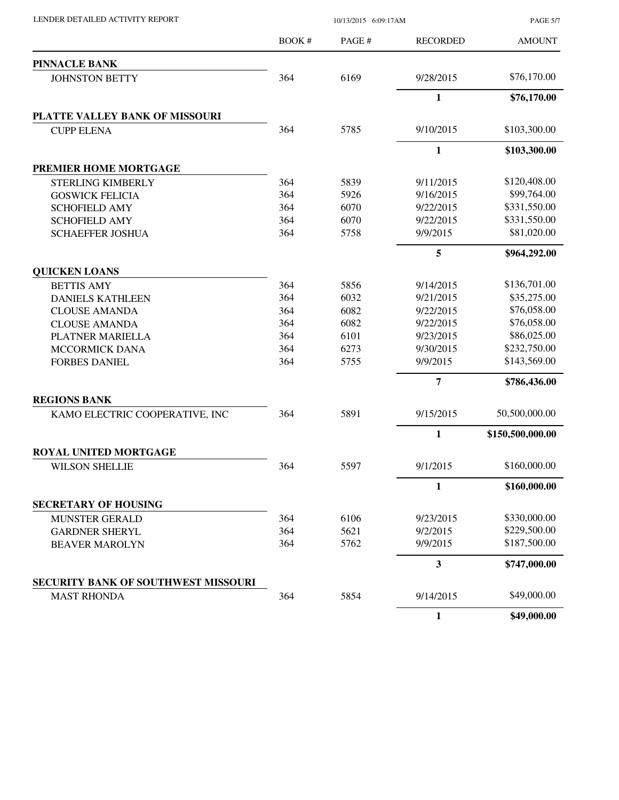| LENDER DETAILED ACTIVITY REPORT |  |
|---------------------------------|--|
|                                 |  |

10/13/2015 6:09:17AM

PAGE 5/7

|                                     | <b>BOOK#</b> | PAGE# | <b>RECORDED</b> | <b>AMOUNT</b>    |
|-------------------------------------|--------------|-------|-----------------|------------------|
| <b>PINNACLE BANK</b>                |              |       |                 |                  |
| <b>JOHNSTON BETTY</b>               | 364          | 6169  | 9/28/2015       | \$76,170.00      |
|                                     |              |       | 1               | \$76,170.00      |
| PLATTE VALLEY BANK OF MISSOURI      |              |       |                 |                  |
| <b>CUPP ELENA</b>                   | 364          | 5785  | 9/10/2015       | \$103,300.00     |
|                                     |              |       | $\mathbf{1}$    | \$103,300.00     |
| PREMIER HOME MORTGAGE               |              |       |                 |                  |
| <b>STERLING KIMBERLY</b>            | 364          | 5839  | 9/11/2015       | \$120,408.00     |
| <b>GOSWICK FELICIA</b>              | 364          | 5926  | 9/16/2015       | \$99,764.00      |
| <b>SCHOFIELD AMY</b>                | 364          | 6070  | 9/22/2015       | \$331,550.00     |
| <b>SCHOFIELD AMY</b>                | 364          | 6070  | 9/22/2015       | \$331,550.00     |
| <b>SCHAEFFER JOSHUA</b>             | 364          | 5758  | 9/9/2015        | \$81,020.00      |
|                                     |              |       | 5               | \$964,292.00     |
| <b>QUICKEN LOANS</b>                |              |       |                 |                  |
| <b>BETTIS AMY</b>                   | 364          | 5856  | 9/14/2015       | \$136,701.00     |
| <b>DANIELS KATHLEEN</b>             | 364          | 6032  | 9/21/2015       | \$35,275.00      |
| <b>CLOUSE AMANDA</b>                | 364          | 6082  | 9/22/2015       | \$76,058.00      |
| <b>CLOUSE AMANDA</b>                | 364          | 6082  | 9/22/2015       | \$76,058.00      |
| PLATNER MARIELLA                    | 364          | 6101  | 9/23/2015       | \$86,025.00      |
| <b>MCCORMICK DANA</b>               | 364          | 6273  | 9/30/2015       | \$232,750.00     |
| <b>FORBES DANIEL</b>                | 364          | 5755  | 9/9/2015        | \$143,569.00     |
|                                     |              |       | $\overline{7}$  | \$786,436.00     |
| <b>REGIONS BANK</b>                 |              |       |                 |                  |
| KAMO ELECTRIC COOPERATIVE, INC      | 364          | 5891  | 9/15/2015       | 50,500,000.00    |
|                                     |              |       | 1               | \$150,500,000.00 |
| <b>ROYAL UNITED MORTGAGE</b>        |              |       |                 |                  |
| <b>WILSON SHELLIE</b>               | 364          | 5597  | 9/1/2015        | \$160,000.00     |
|                                     |              |       | 1               | \$160,000.00     |
| <b>SECRETARY OF HOUSING</b>         |              |       |                 |                  |
| <b>MUNSTER GERALD</b>               | 364          | 6106  | 9/23/2015       | \$330,000.00     |
| <b>GARDNER SHERYL</b>               | 364          | 5621  | 9/2/2015        | \$229,500.00     |
| <b>BEAVER MAROLYN</b>               | 364          | 5762  | 9/9/2015        | \$187,500.00     |
|                                     |              |       | $\mathbf{3}$    | \$747,000.00     |
| SECURITY BANK OF SOUTHWEST MISSOURI |              |       |                 |                  |
| <b>MAST RHONDA</b>                  | 364          | 5854  | 9/14/2015       | \$49,000.00      |
|                                     |              |       | $\mathbf{1}$    | \$49,000.00      |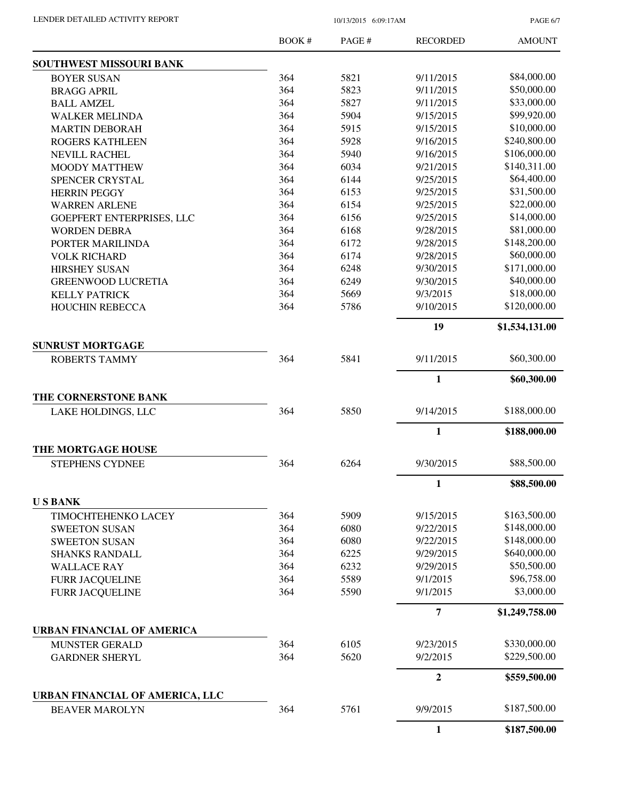PAGE 6/7

|                                   | <b>BOOK#</b> | PAGE# | <b>RECORDED</b> | <b>AMOUNT</b>  |
|-----------------------------------|--------------|-------|-----------------|----------------|
| <b>SOUTHWEST MISSOURI BANK</b>    |              |       |                 |                |
| <b>BOYER SUSAN</b>                | 364          | 5821  | 9/11/2015       | \$84,000.00    |
| <b>BRAGG APRIL</b>                | 364          | 5823  | 9/11/2015       | \$50,000.00    |
| <b>BALL AMZEL</b>                 | 364          | 5827  | 9/11/2015       | \$33,000.00    |
| <b>WALKER MELINDA</b>             | 364          | 5904  | 9/15/2015       | \$99,920.00    |
| <b>MARTIN DEBORAH</b>             | 364          | 5915  | 9/15/2015       | \$10,000.00    |
| <b>ROGERS KATHLEEN</b>            | 364          | 5928  | 9/16/2015       | \$240,800.00   |
| <b>NEVILL RACHEL</b>              | 364          | 5940  | 9/16/2015       | \$106,000.00   |
| <b>MOODY MATTHEW</b>              | 364          | 6034  | 9/21/2015       | \$140,311.00   |
| SPENCER CRYSTAL                   | 364          | 6144  | 9/25/2015       | \$64,400.00    |
| <b>HERRIN PEGGY</b>               | 364          | 6153  | 9/25/2015       | \$31,500.00    |
| <b>WARREN ARLENE</b>              | 364          | 6154  | 9/25/2015       | \$22,000.00    |
| GOEPFERT ENTERPRISES, LLC         | 364          | 6156  | 9/25/2015       | \$14,000.00    |
| <b>WORDEN DEBRA</b>               | 364          | 6168  | 9/28/2015       | \$81,000.00    |
| PORTER MARILINDA                  | 364          | 6172  | 9/28/2015       | \$148,200.00   |
| <b>VOLK RICHARD</b>               | 364          | 6174  | 9/28/2015       | \$60,000.00    |
| <b>HIRSHEY SUSAN</b>              | 364          | 6248  | 9/30/2015       | \$171,000.00   |
| <b>GREENWOOD LUCRETIA</b>         | 364          | 6249  | 9/30/2015       | \$40,000.00    |
| <b>KELLY PATRICK</b>              | 364          | 5669  | 9/3/2015        | \$18,000.00    |
| <b>HOUCHIN REBECCA</b>            | 364          | 5786  | 9/10/2015       | \$120,000.00   |
|                                   |              |       | 19              | \$1,534,131.00 |
| <b>SUNRUST MORTGAGE</b>           |              |       |                 |                |
| <b>ROBERTS TAMMY</b>              | 364          | 5841  | 9/11/2015       | \$60,300.00    |
|                                   |              |       | $\mathbf{1}$    | \$60,300.00    |
| THE CORNERSTONE BANK              |              |       |                 |                |
| LAKE HOLDINGS, LLC                | 364          | 5850  | 9/14/2015       | \$188,000.00   |
|                                   |              |       | 1               | \$188,000.00   |
| THE MORTGAGE HOUSE                |              |       |                 |                |
| STEPHENS CYDNEE                   | 364          | 6264  | 9/30/2015       | \$88,500.00    |
|                                   |              |       | $\mathbf{1}$    | \$88,500.00    |
| <b>USBANK</b>                     |              |       |                 |                |
| TIMOCHTEHENKO LACEY               | 364          | 5909  | 9/15/2015       | \$163,500.00   |
| <b>SWEETON SUSAN</b>              | 364          | 6080  | 9/22/2015       | \$148,000.00   |
| <b>SWEETON SUSAN</b>              | 364          | 6080  | 9/22/2015       | \$148,000.00   |
| <b>SHANKS RANDALL</b>             | 364          | 6225  | 9/29/2015       | \$640,000.00   |
| <b>WALLACE RAY</b>                | 364          | 6232  | 9/29/2015       | \$50,500.00    |
| FURR JACQUELINE                   | 364          | 5589  | 9/1/2015        | \$96,758.00    |
| <b>FURR JACQUELINE</b>            | 364          | 5590  | 9/1/2015        | \$3,000.00     |
|                                   |              |       | 7               | \$1,249,758.00 |
| <b>URBAN FINANCIAL OF AMERICA</b> |              |       |                 |                |
| MUNSTER GERALD                    | 364          | 6105  | 9/23/2015       | \$330,000.00   |
| <b>GARDNER SHERYL</b>             | 364          | 5620  | 9/2/2015        | \$229,500.00   |
|                                   |              |       | $\mathbf{2}$    | \$559,500.00   |
| URBAN FINANCIAL OF AMERICA, LLC   |              |       |                 |                |
| <b>BEAVER MAROLYN</b>             | 364          | 5761  | 9/9/2015        | \$187,500.00   |
|                                   |              |       | $\mathbf{1}$    | \$187,500.00   |